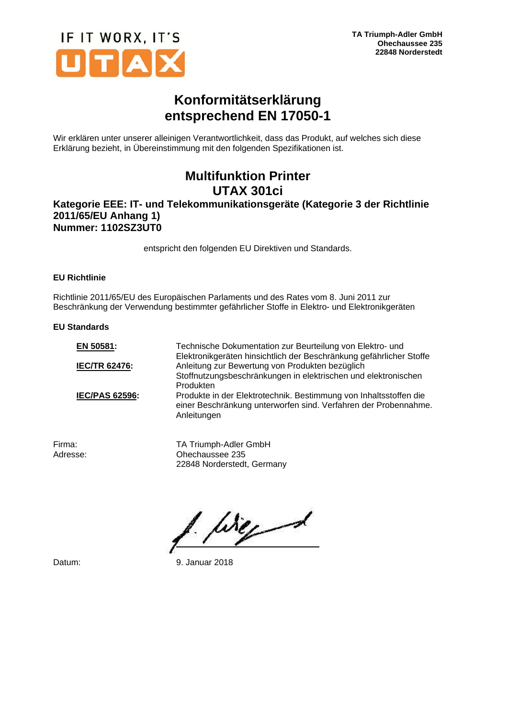

## **Konformitätserklärung entsprechend EN 17050-1**

Wir erklären unter unserer alleinigen Verantwortlichkeit, dass das Produkt, auf welches sich diese Erklärung bezieht, in Übereinstimmung mit den folgenden Spezifikationen ist.

# **Multifunktion Printer UTAX 301ci**

### **Kategorie EEE: IT- und Telekommunikationsgeräte (Kategorie 3 der Richtlinie 2011/65/EU Anhang 1) Nummer: 1102SZ3UT0**

entspricht den folgenden EU Direktiven und Standards.

### **EU Richtlinie**

Richtlinie 2011/65/EU des Europäischen Parlaments und des Rates vom 8. Juni 2011 zur Beschränkung der Verwendung bestimmter gefährlicher Stoffe in Elektro- und Elektronikgeräten

#### **EU Standards**

| EN 50581:             | Technische Dokumentation zur Beurteilung von Elektro- und<br>Elektronikgeräten hinsichtlich der Beschränkung gefährlicher Stoffe                    |
|-----------------------|-----------------------------------------------------------------------------------------------------------------------------------------------------|
| <b>IEC/TR 62476:</b>  | Anleitung zur Bewertung von Produkten bezüglich                                                                                                     |
|                       | Stoffnutzungsbeschränkungen in elektrischen und elektronischen                                                                                      |
|                       | Produkten                                                                                                                                           |
| <b>IEC/PAS 62596:</b> | Produkte in der Elektrotechnik. Bestimmung von Inhaltsstoffen die<br>einer Beschränkung unterworfen sind. Verfahren der Probennahme.<br>Anleitungen |
|                       |                                                                                                                                                     |

Firma: TA Triumph-Adler GmbH<br>Adresse: Chechaussee 235 Ohechaussee 235 22848 Norderstedt, Germany

birged

Datum: 9. Januar 2018